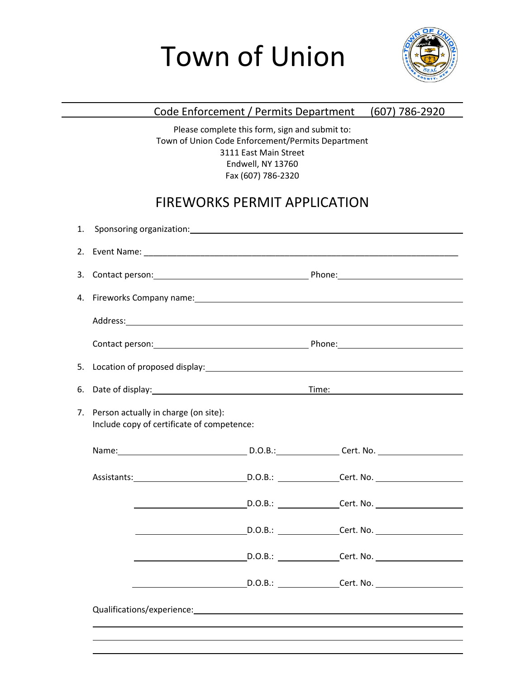# Town of Union



#### Code Enforcement / Permits Department (607) 786-2920

Please complete this form, sign and submit to: Town of Union Code Enforcement/Permits Department 3111 East Main Street Endwell, NY 13760 Fax (607) 786-2320

## FIREWORKS PERMIT APPLICATION

| 5. |                                                                                    |  |  |  |  |
|----|------------------------------------------------------------------------------------|--|--|--|--|
| 6. |                                                                                    |  |  |  |  |
| 7. | Person actually in charge (on site):<br>Include copy of certificate of competence: |  |  |  |  |
|    | Name: D.O.B.: Cert. No. 2008.                                                      |  |  |  |  |
|    |                                                                                    |  |  |  |  |
|    |                                                                                    |  |  |  |  |
|    |                                                                                    |  |  |  |  |
|    |                                                                                    |  |  |  |  |
|    |                                                                                    |  |  |  |  |
|    |                                                                                    |  |  |  |  |
|    |                                                                                    |  |  |  |  |
|    |                                                                                    |  |  |  |  |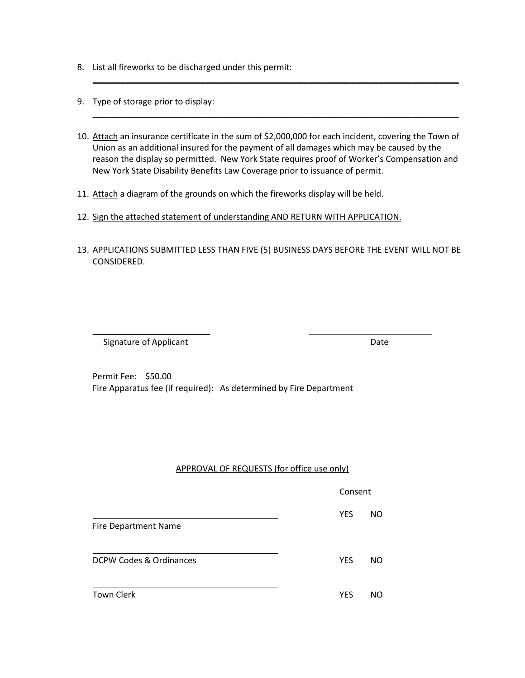- 8. List all fireworks to be discharged under this permit:
- 9. Type of storage prior to display: The storage state of the storage prior to display the storage prior to display the storage prior to display the storage prior to display the storage prior to display the storage prior t
- 10. Attach an insurance certificate in the sum of \$2,000,000 for each incident, covering the Town of Union as an additional insured for the payment of all damages which may be caused by the reason the display so permitted. New York State requires proof of Worker's Compensation and New York State Disability Benefits Law Coverage prior to issuance of permit.

\_\_\_\_\_\_\_\_\_\_\_\_\_\_\_\_\_\_\_\_\_\_\_\_\_\_\_\_\_\_\_\_\_\_\_\_\_\_\_\_\_\_\_\_\_\_\_\_\_\_\_\_\_\_\_\_\_\_\_\_\_\_\_\_\_\_\_\_\_\_\_\_\_\_\_\_\_\_

\_\_\_\_\_\_\_\_\_\_\_\_\_\_\_\_\_\_\_\_\_\_\_\_\_\_\_\_\_\_\_\_\_\_\_\_\_\_\_\_\_\_\_\_\_\_\_\_\_\_\_\_\_\_\_\_\_\_\_\_\_\_\_\_\_\_\_\_\_\_\_\_\_\_\_\_\_\_

- 11. Attach a diagram of the grounds on which the fireworks display will be held.
- 12. Sign the attached statement of understanding AND RETURN WITH APPLICATION.
- 13. APPLICATIONS SUBMITTED LESS THAN FIVE (5) BUSINESS DAYS BEFORE THE EVENT WILL NOT BE CONSIDERED.

\_\_\_\_\_\_\_\_\_\_\_\_\_\_\_\_\_\_\_\_\_\_\_\_\_ Signature of Applicant **Date** Date **Date** 

Permit Fee: \$50.00 Fire Apparatus fee (if required): As determined by Fire Department

#### APPROVAL OF REQUESTS (for office use only)

Consent

YES NO

Fire Department Name

DCPW Codes & Ordinances No. 2006 1997 1998 WES NO

Town Clerk Town Clerk Town Clerk Town Clerk Town Assembly the U.S. Contract of the U.S. Contract of the U.S. Contract of the U.S. Contract of the U.S. Contract of the U.S. Contract of the U.S. Contract of the U.S. Contract